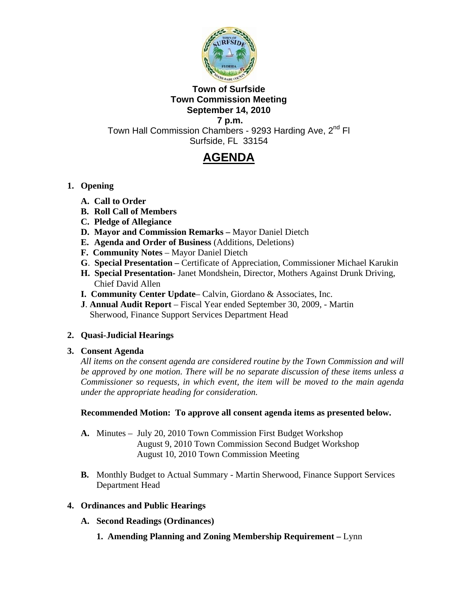

## **Town of Surfside Town Commission Meeting September 14, 2010**

 **7 p.m.**  Town Hall Commission Chambers - 9293 Harding Ave, 2<sup>nd</sup> Fl Surfside, FL 33154

# **AGENDA**

## **1. Opening**

- **A. Call to Order**
- **B. Roll Call of Members**
- **C. Pledge of Allegiance**
- **D. Mayor and Commission Remarks** Mayor Daniel Dietch
- **E. Agenda and Order of Business** (Additions, Deletions)
- **F. Community Notes** Mayor Daniel Dietch
- **G**. **Special Presentation** Certificate of Appreciation, Commissioner Michael Karukin
- **H. Special Presentation-** Janet Mondshein, Director, Mothers Against Drunk Driving, Chief David Allen
- **I. Community Center Update** Calvin, Giordano & Associates, Inc.
- **J**. **Annual Audit Report** Fiscal Year ended September 30, 2009, Martin Sherwood, Finance Support Services Department Head

# **2. Quasi-Judicial Hearings**

## **3. Consent Agenda**

*All items on the consent agenda are considered routine by the Town Commission and will be approved by one motion. There will be no separate discussion of these items unless a Commissioner so requests, in which event, the item will be moved to the main agenda under the appropriate heading for consideration.*

## **Recommended Motion: To approve all consent agenda items as presented below.**

- **A.** Minutes July 20, 2010 Town Commission First Budget Workshop August 9, 2010 Town Commission Second Budget Workshop August 10, 2010 Town Commission Meeting
- **B.** Monthly Budget to Actual Summary Martin Sherwood, Finance Support Services Department Head

## **4. Ordinances and Public Hearings**

- **A. Second Readings (Ordinances)** 
	- **1. Amending Planning and Zoning Membership Requirement** Lynn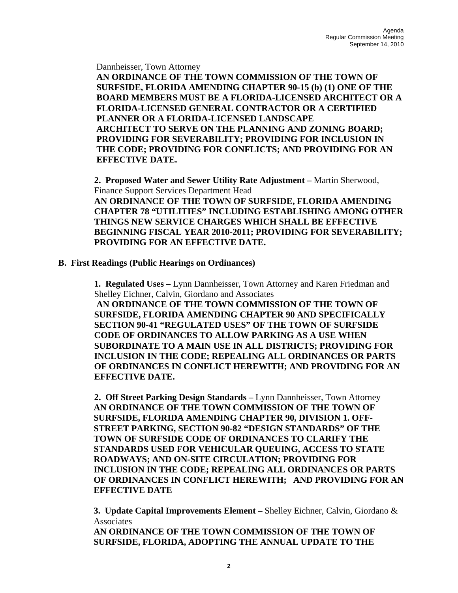Dannheisser, Town Attorney

 **AN ORDINANCE OF THE TOWN COMMISSION OF THE TOWN OF SURFSIDE, FLORIDA AMENDING CHAPTER 90-15 (b) (1) ONE OF THE BOARD MEMBERS MUST BE A FLORIDA-LICENSED ARCHITECT OR A FLORIDA-LICENSED GENERAL CONTRACTOR OR A CERTIFIED PLANNER OR A FLORIDA-LICENSED LANDSCAPE ARCHITECT TO SERVE ON THE PLANNING AND ZONING BOARD; PROVIDING FOR SEVERABILITY; PROVIDING FOR INCLUSION IN THE CODE; PROVIDING FOR CONFLICTS; AND PROVIDING FOR AN EFFECTIVE DATE.** 

**2. Proposed Water and Sewer Utility Rate Adjustment –** Martin Sherwood, Finance Support Services Department Head **AN ORDINANCE OF THE TOWN OF SURFSIDE, FLORIDA AMENDING CHAPTER 78 "UTILITIES" INCLUDING ESTABLISHING AMONG OTHER THINGS NEW SERVICE CHARGES WHICH SHALL BE EFFECTIVE BEGINNING FISCAL YEAR 2010-2011; PROVIDING FOR SEVERABILITY; PROVIDING FOR AN EFFECTIVE DATE.** 

#### **B. First Readings (Public Hearings on Ordinances)**

 **1. Regulated Uses –** Lynn Dannheisser, Town Attorney and Karen Friedman and Shelley Eichner, Calvin, Giordano and Associates

**AN ORDINANCE OF THE TOWN COMMISSION OF THE TOWN OF SURFSIDE, FLORIDA AMENDING CHAPTER 90 AND SPECIFICALLY SECTION 90-41 "REGULATED USES" OF THE TOWN OF SURFSIDE CODE OF ORDINANCES TO ALLOW PARKING AS A USE WHEN SUBORDINATE TO A MAIN USE IN ALL DISTRICTS; PROVIDING FOR INCLUSION IN THE CODE; REPEALING ALL ORDINANCES OR PARTS OF ORDINANCES IN CONFLICT HEREWITH; AND PROVIDING FOR AN EFFECTIVE DATE.** 

**2. Off Street Parking Design Standards –** Lynn Dannheisser, Town Attorney **AN ORDINANCE OF THE TOWN COMMISSION OF THE TOWN OF SURFSIDE, FLORIDA AMENDING CHAPTER 90, DIVISION 1. OFF-STREET PARKING, SECTION 90-82 "DESIGN STANDARDS" OF THE TOWN OF SURFSIDE CODE OF ORDINANCES TO CLARIFY THE STANDARDS USED FOR VEHICULAR QUEUING, ACCESS TO STATE ROADWAYS; AND ON-SITE CIRCULATION; PROVIDING FOR INCLUSION IN THE CODE; REPEALING ALL ORDINANCES OR PARTS OF ORDINANCES IN CONFLICT HEREWITH; AND PROVIDING FOR AN EFFECTIVE DATE** 

**3. Update Capital Improvements Element –** Shelley Eichner, Calvin, Giordano & Associates

**AN ORDINANCE OF THE TOWN COMMISSION OF THE TOWN OF SURFSIDE, FLORIDA, ADOPTING THE ANNUAL UPDATE TO THE**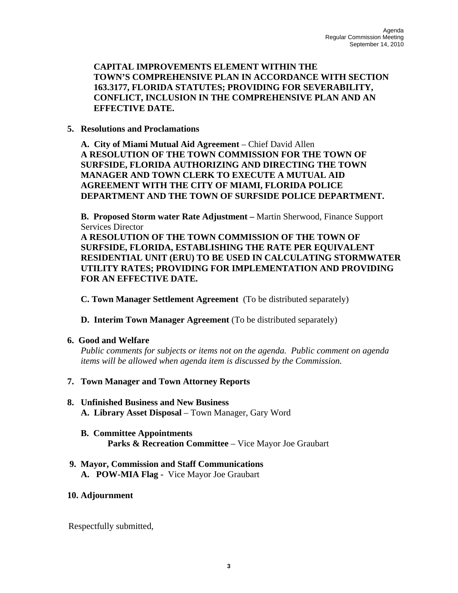**CAPITAL IMPROVEMENTS ELEMENT WITHIN THE TOWN'S COMPREHENSIVE PLAN IN ACCORDANCE WITH SECTION 163.3177, FLORIDA STATUTES; PROVIDING FOR SEVERABILITY, CONFLICT, INCLUSION IN THE COMPREHENSIVE PLAN AND AN EFFECTIVE DATE.** 

#### **5. Resolutions and Proclamations**

**A. City of Miami Mutual Aid Agreement** – Chief David Allen **A RESOLUTION OF THE TOWN COMMISSION FOR THE TOWN OF SURFSIDE, FLORIDA AUTHORIZING AND DIRECTING THE TOWN MANAGER AND TOWN CLERK TO EXECUTE A MUTUAL AID AGREEMENT WITH THE CITY OF MIAMI, FLORIDA POLICE DEPARTMENT AND THE TOWN OF SURFSIDE POLICE DEPARTMENT.** 

**B. Proposed Storm water Rate Adjustment –** Martin Sherwood, Finance Support Services Director

 **A RESOLUTION OF THE TOWN COMMISSION OF THE TOWN OF SURFSIDE, FLORIDA, ESTABLISHING THE RATE PER EQUIVALENT RESIDENTIAL UNIT (ERU) TO BE USED IN CALCULATING STORMWATER UTILITY RATES; PROVIDING FOR IMPLEMENTATION AND PROVIDING FOR AN EFFECTIVE DATE.** 

**C. Town Manager Settlement Agreement** (To be distributed separately)

**D. Interim Town Manager Agreement** (To be distributed separately)

#### **6. Good and Welfare**

*Public comments for subjects or items not on the agenda. Public comment on agenda items will be allowed when agenda item is discussed by the Commission.*

## **7. Town Manager and Town Attorney Reports**

### **8. Unfinished Business and New Business A. Library Asset Disposal** – Town Manager, Gary Word

#### **B. Committee Appointments Parks & Recreation Committee** – Vice Mayor Joe Graubart

#### **9. Mayor, Commission and Staff Communications A. POW-MIA Flag -** Vice Mayor Joe Graubart

#### **10. Adjournment**

Respectfully submitted,